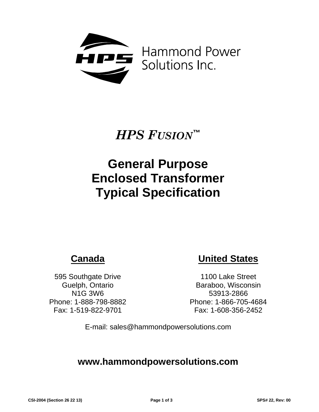

# *HPS FUSION***™**

# **General Purpose Enclosed Transformer Typical Specification**

# **Canada**

595 Southgate Drive Guelph, Ontario N1G 3W6 Phone: 1-888-798-8882 Fax: 1-519-822-9701

# **United States**

1100 Lake Street Baraboo, Wisconsin 53913-2866 Phone: 1-866-705-4684 Fax: 1-608-356-2452

E-mail: sales@hammondpowersolutions.com

# **www.hammondpowersolutions.com**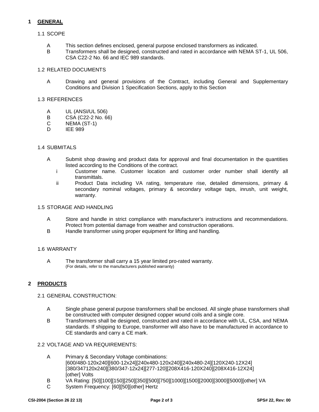# **1 GENERAL**

## 1.1 SCOPE

- A This section defines enclosed, general purpose enclosed transformers as indicated.<br>B Transformers shall be designed, constructed and rated in accordance with NEMA S
- Transformers shall be designed, constructed and rated in accordance with NEMA ST-1, UL 506, CSA C22-2 No. 66 and IEC 989 standards.

### 1.2 RELATED DOCUMENTS

A Drawing and general provisions of the Contract, including General and Supplementary Conditions and Division 1 Specification Sections, apply to this Section

#### 1.3 REFERENCES

- A UL (ANSI/UL 506)<br>B CSA (C22-2 No. 6
- B CSA (C22-2 No. 66)<br>C NEMA (ST-1)
- $\begin{array}{cc}\n\mathsf{C} & \mathsf{NEMA}(\mathsf{ST-1}) \\
\mathsf{D} & \mathsf{IFF}.\mathsf{989}\n\end{array}$
- **IEE 989**

#### 1.4 SUBMITALS

- A Submit shop drawing and product data for approval and final documentation in the quantities listed according to the Conditions of the contract.
	- i Customer name. Customer location and customer order number shall identify all transmittals.
	- ii Product Data including VA rating, temperature rise, detailed dimensions, primary & secondary nominal voltages, primary & secondary voltage taps, inrush, unit weight, warranty.

#### 1.5 STORAGE AND HANDLING

- A Store and handle in strict compliance with manufacturer's instructions and recommendations. Protect from potential damage from weather and construction operations.
- B Handle transformer using proper equipment for lifting and handling.

#### 1.6 WARRANTY

A The transformer shall carry a 15 year limited pro-rated warranty. (For details, refer to the manufacturers published warranty)

#### **2 PRODUCTS**

#### 2.1 GENERAL CONSTRUCTION:

- A Single phase general purpose transformers shall be enclosed. All single phase transformers shall be constructed with computer designed copper wound coils and a single core.
- B Transformers shall be designed, constructed and rated in accordance with UL, CSA, and NEMA standards. If shipping to Europe, transformer will also have to be manufactured in accordance to CE standards and carry a CE mark.

#### 2.2 VOLTAGE AND VA REQUIREMENTS:

- A Primary & Secondary Voltage combinations: [600/480-120x240][600-12x24][240x480-120x240][240x480-24][120X240-12X24] [380/347120x240][380/347-12x24][277-120][208X416-120X240][208X416-12X24] [other] Volts
- B VA Rating: [50][100][150][250][350][500][750][1000][1500][2000][3000][5000][other] VA
- C System Frequency: [60][50][other] Hertz